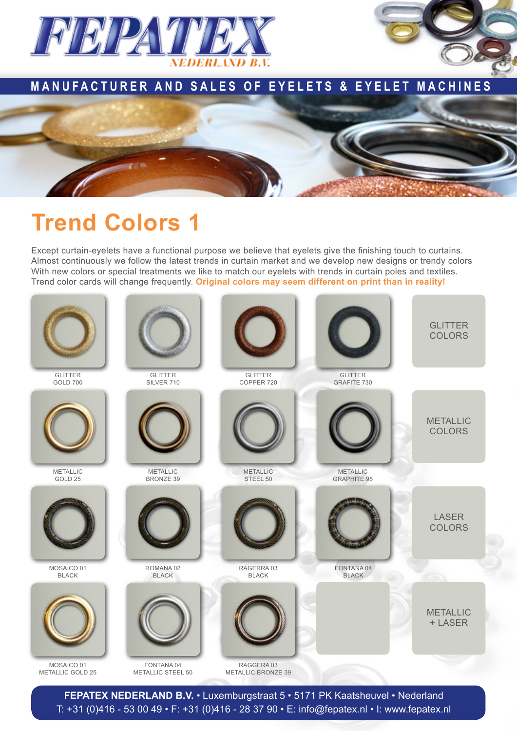

## **MANUFACTURER AND SALES OF EYELETS & EYELET MACHINES**



## **Trend Colors 1**

Except curtain-eyelets have a functional purpose we believe that eyelets give the finishing touch to curtains. Almost continuously we follow the latest trends in curtain market and we develop new designs or trendy colors With new colors or special treatments we like to match our eyelets with trends in curtain poles and textiles. Trend color cards will change frequently. **Original colors may seem different on print than in reality!**



**Fepatex Nederland B.V.** • Luxemburgstraat 5 • 5171 PK Kaatsheuvel • Nederland T: +31 (0)416 - 53 00 49 • F: +31 (0)416 - 28 37 90 • E: info@fepatex.nl • I: www.fepatex.nl